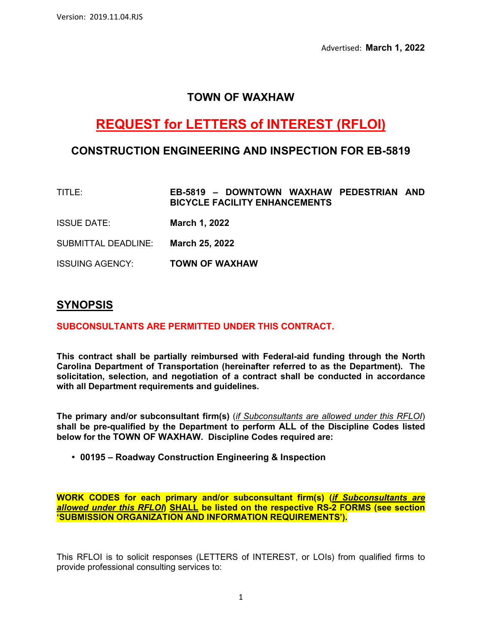### **TOWN OF WAXHAW**

# **REQUEST for LETTERS of INTEREST (RFLOI)**

### **CONSTRUCTION ENGINEERING AND INSPECTION FOR EB-5819**

- TITLE: **EB-5819 DOWNTOWN WAXHAW PEDESTRIAN AND BICYCLE FACILITY ENHANCEMENTS**
- ISSUE DATE: **March 1, 2022**
- SUBMITTAL DEADLINE: **March 25, 2022**

ISSUING AGENCY: **TOWN OF WAXHAW**

### **SYNOPSIS**

#### **SUBCONSULTANTS ARE PERMITTED UNDER THIS CONTRACT.**

**This contract shall be partially reimbursed with Federal-aid funding through the North Carolina Department of Transportation (hereinafter referred to as the Department). The solicitation, selection, and negotiation of a contract shall be conducted in accordance with all Department requirements and guidelines.** 

**The primary and/or subconsultant firm(s)** (*if Subconsultants are allowed under this RFLOI*) **shall be pre-qualified by the Department to perform ALL of the Discipline Codes listed below for the TOWN OF WAXHAW. Discipline Codes required are:** 

• **00195 – Roadway Construction Engineering & Inspection**

**WORK CODES for each primary and/or subconsultant firm(s) (***if Subconsultants are allowed under this RFLOI***) SHALL be listed on the respective RS-2 FORMS (see section 'SUBMISSION ORGANIZATION AND INFORMATION REQUIREMENTS').** 

This RFLOI is to solicit responses (LETTERS of INTEREST, or LOIs) from qualified firms to provide professional consulting services to: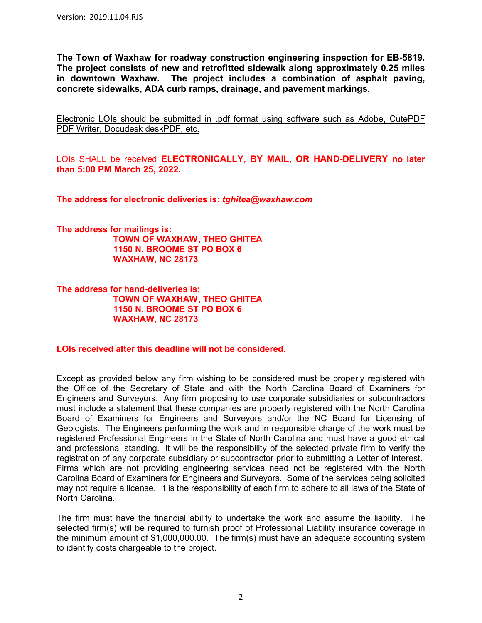**The Town of Waxhaw for roadway construction engineering inspection for EB-5819. The project consists of new and retrofitted sidewalk along approximately 0.25 miles in downtown Waxhaw. The project includes a combination of asphalt paving, concrete sidewalks, ADA curb ramps, drainage, and pavement markings.**

Electronic LOIs should be submitted in .pdf format using software such as Adobe, CutePDF PDF Writer, Docudesk deskPDF, etc.

LOIs SHALL be received **ELECTRONICALLY, BY MAIL, OR HAND-DELIVERY no later than 5:00 PM March 25, 2022.** 

**The address for electronic deliveries is:** *tghitea@waxhaw.com*

**The address for mailings is: TOWN OF WAXHAW , THEO GHITEA 1150 N. BROOME ST PO BOX 6 WAXHAW, NC 28173** 

**The address for hand-deliveries is: TOWN OF WAXHAW , THEO GHITEA 1150 N. BROOME ST PO BOX 6 WAXHAW, NC 28173** 

**LOIs received after this deadline will not be considered.** 

Except as provided below any firm wishing to be considered must be properly registered with the Office of the Secretary of State and with the North Carolina Board of Examiners for Engineers and Surveyors. Any firm proposing to use corporate subsidiaries or subcontractors must include a statement that these companies are properly registered with the North Carolina Board of Examiners for Engineers and Surveyors and/or the NC Board for Licensing of Geologists. The Engineers performing the work and in responsible charge of the work must be registered Professional Engineers in the State of North Carolina and must have a good ethical and professional standing. It will be the responsibility of the selected private firm to verify the registration of any corporate subsidiary or subcontractor prior to submitting a Letter of Interest. Firms which are not providing engineering services need not be registered with the North Carolina Board of Examiners for Engineers and Surveyors. Some of the services being solicited may not require a license. It is the responsibility of each firm to adhere to all laws of the State of North Carolina.

The firm must have the financial ability to undertake the work and assume the liability. The selected firm(s) will be required to furnish proof of Professional Liability insurance coverage in the minimum amount of \$1,000,000.00. The firm(s) must have an adequate accounting system to identify costs chargeable to the project.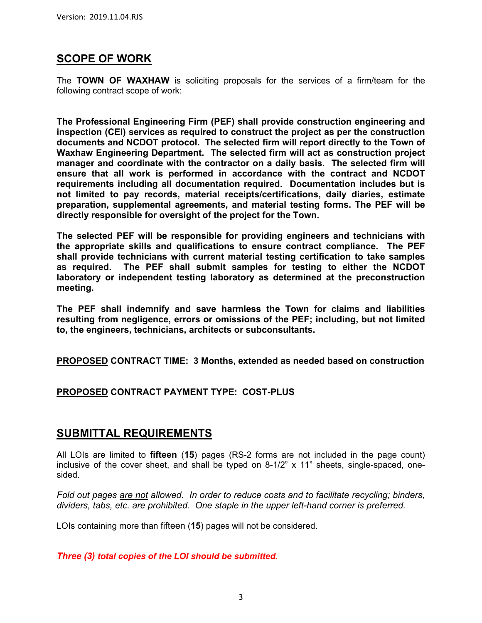# **SCOPE OF WORK**

The **TOWN OF WAXHAW** is soliciting proposals for the services of a firm/team for the following contract scope of work:

**The Professional Engineering Firm (PEF) shall provide construction engineering and inspection (CEI) services as required to construct the project as per the construction documents and NCDOT protocol. The selected firm will report directly to the Town of Waxhaw Engineering Department. The selected firm will act as construction project manager and coordinate with the contractor on a daily basis. The selected firm will ensure that all work is performed in accordance with the contract and NCDOT requirements including all documentation required. Documentation includes but is not limited to pay records, material receipts/certifications, daily diaries, estimate preparation, supplemental agreements, and material testing forms. The PEF will be directly responsible for oversight of the project for the Town.** 

**The selected PEF will be responsible for providing engineers and technicians with the appropriate skills and qualifications to ensure contract compliance. The PEF shall provide technicians with current material testing certification to take samples as required. The PEF shall submit samples for testing to either the NCDOT laboratory or independent testing laboratory as determined at the preconstruction meeting.** 

**The PEF shall indemnify and save harmless the Town for claims and liabilities resulting from negligence, errors or omissions of the PEF; including, but not limited to, the engineers, technicians, architects or subconsultants.** 

**PROPOSED CONTRACT TIME: 3 Months, extended as needed based on construction** 

#### **PROPOSED CONTRACT PAYMENT TYPE: COST-PLUS**

### **SUBMITTAL REQUIREMENTS**

All LOIs are limited to **fifteen** (**15**) pages (RS-2 forms are not included in the page count) inclusive of the cover sheet, and shall be typed on 8-1/2" x 11" sheets, single-spaced, onesided.

*Fold out pages are not allowed. In order to reduce costs and to facilitate recycling; binders, dividers, tabs, etc. are prohibited. One staple in the upper left-hand corner is preferred.*

LOIs containing more than fifteen (**15**) pages will not be considered.

#### *Three (3) total copies of the LOI should be submitted.*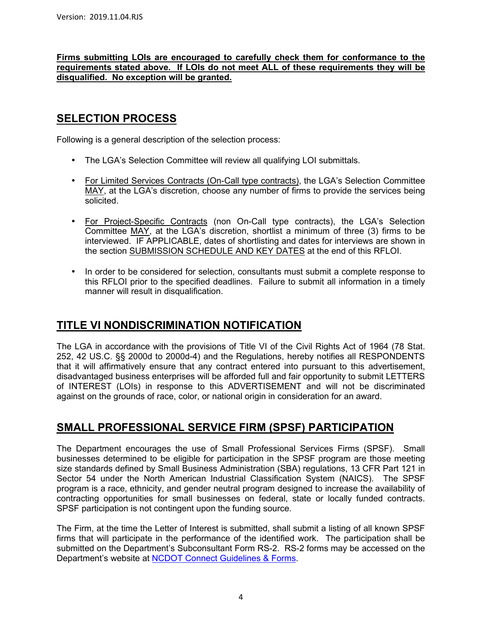#### **Firms submitting LOIs are encouraged to carefully check them for conformance to the requirements stated above. If LOIs do not meet ALL of these requirements they will be disqualified. No exception will be granted.**

# **SELECTION PROCESS**

Following is a general description of the selection process:

- The LGA's Selection Committee will review all qualifying LOI submittals.
- For Limited Services Contracts (On-Call type contracts), the LGA's Selection Committee MAY, at the LGA's discretion, choose any number of firms to provide the services being solicited.
- For Project-Specific Contracts (non On-Call type contracts), the LGA's Selection Committee MAY, at the LGA's discretion, shortlist a minimum of three (3) firms to be interviewed. IF APPLICABLE, dates of shortlisting and dates for interviews are shown in the section SUBMISSION SCHEDULE AND KEY DATES at the end of this RFLOI.
- In order to be considered for selection, consultants must submit a complete response to this RFLOI prior to the specified deadlines. Failure to submit all information in a timely manner will result in disqualification.

# **TITLE VI NONDISCRIMINATION NOTIFICATION**

The LGA in accordance with the provisions of Title VI of the Civil Rights Act of 1964 (78 Stat. 252, 42 US.C. §§ 2000d to 2000d-4) and the Regulations, hereby notifies all RESPONDENTS that it will affirmatively ensure that any contract entered into pursuant to this advertisement, disadvantaged business enterprises will be afforded full and fair opportunity to submit LETTERS of INTEREST (LOIs) in response to this ADVERTISEMENT and will not be discriminated against on the grounds of race, color, or national origin in consideration for an award.

# **SMALL PROFESSIONAL SERVICE FIRM (SPSF) PARTICIPATION**

The Department encourages the use of Small Professional Services Firms (SPSF). Small businesses determined to be eligible for participation in the SPSF program are those meeting size standards defined by Small Business Administration (SBA) regulations, 13 CFR Part 121 in Sector 54 under the North American Industrial Classification System (NAICS). The SPSF program is a race, ethnicity, and gender neutral program designed to increase the availability of contracting opportunities for small businesses on federal, state or locally funded contracts. SPSF participation is not contingent upon the funding source.

The Firm, at the time the Letter of Interest is submitted, shall submit a listing of all known SPSF firms that will participate in the performance of the identified work. The participation shall be submitted on the Department's Subconsultant Form RS-2. RS-2 forms may be accessed on the Department's website at NCDOT Connect Guidelines & Forms.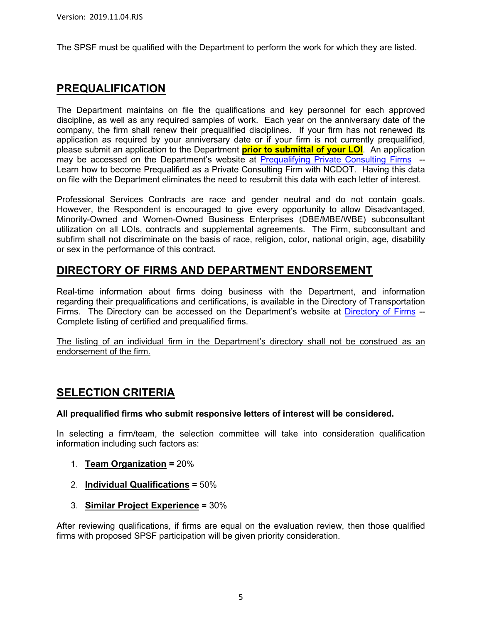The SPSF must be qualified with the Department to perform the work for which they are listed.

# **PREQUALIFICATION**

The Department maintains on file the qualifications and key personnel for each approved discipline, as well as any required samples of work. Each year on the anniversary date of the company, the firm shall renew their prequalified disciplines. If your firm has not renewed its application as required by your anniversary date or if your firm is not currently prequalified, please submit an application to the Department **prior to submittal of your LOI**. An application may be accessed on the Department's website at Prequalifying Private Consulting Firms -- Learn how to become Prequalified as a Private Consulting Firm with NCDOT. Having this data on file with the Department eliminates the need to resubmit this data with each letter of interest.

Professional Services Contracts are race and gender neutral and do not contain goals. However, the Respondent is encouraged to give every opportunity to allow Disadvantaged, Minority-Owned and Women-Owned Business Enterprises (DBE/MBE/WBE) subconsultant utilization on all LOIs, contracts and supplemental agreements. The Firm, subconsultant and subfirm shall not discriminate on the basis of race, religion, color, national origin, age, disability or sex in the performance of this contract.

### **DIRECTORY OF FIRMS AND DEPARTMENT ENDORSEMENT**

Real-time information about firms doing business with the Department, and information regarding their prequalifications and certifications, is available in the Directory of Transportation Firms. The Directory can be accessed on the Department's website at Directory of Firms --Complete listing of certified and prequalified firms.

The listing of an individual firm in the Department's directory shall not be construed as an endorsement of the firm.

# **SELECTION CRITERIA**

#### **All prequalified firms who submit responsive letters of interest will be considered.**

In selecting a firm/team, the selection committee will take into consideration qualification information including such factors as:

- 1. **Team Organization =** 20%
- 2. **Individual Qualifications =** 50%
- 3. **Similar Project Experience =** 30%

After reviewing qualifications, if firms are equal on the evaluation review, then those qualified firms with proposed SPSF participation will be given priority consideration.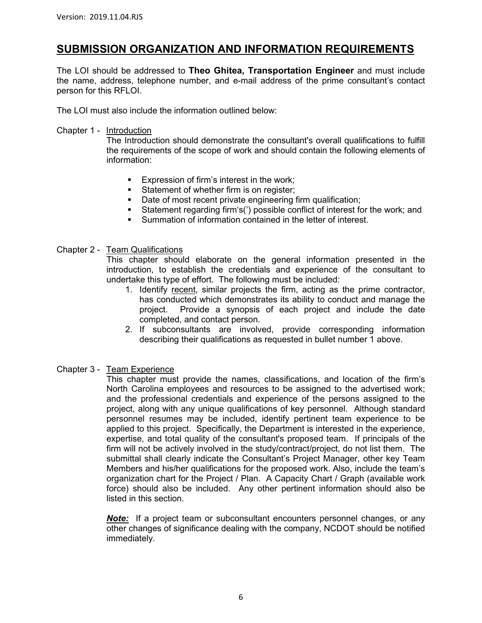### **SUBMISSION ORGANIZATION AND INFORMATION REQUIREMENTS**

The LOI should be addressed to **Theo Ghitea, Transportation Engineer** and must include the name, address, telephone number, and e-mail address of the prime consultant's contact person for this RFLOI.

The LOI must also include the information outlined below:

#### Chapter 1 - Introduction

The Introduction should demonstrate the consultant's overall qualifications to fulfill the requirements of the scope of work and should contain the following elements of information:

- **Expression of firm's interest in the work;**
- Statement of whether firm is on register;
- Date of most recent private engineering firm qualification;
- Statement regarding firm's(') possible conflict of interest for the work; and
- Summation of information contained in the letter of interest.

#### Chapter 2 - Team Qualifications

This chapter should elaborate on the general information presented in the introduction, to establish the credentials and experience of the consultant to undertake this type of effort. The following must be included:

- 1. Identify recent, similar projects the firm, acting as the prime contractor, has conducted which demonstrates its ability to conduct and manage the project. Provide a synopsis of each project and include the date completed, and contact person.
- 2. If subconsultants are involved, provide corresponding information describing their qualifications as requested in bullet number 1 above.

#### Chapter 3 - Team Experience

This chapter must provide the names, classifications, and location of the firm's North Carolina employees and resources to be assigned to the advertised work; and the professional credentials and experience of the persons assigned to the project, along with any unique qualifications of key personnel. Although standard personnel resumes may be included, identify pertinent team experience to be applied to this project. Specifically, the Department is interested in the experience, expertise, and total quality of the consultant's proposed team. If principals of the firm will not be actively involved in the study/contract/project, do not list them. The submittal shall clearly indicate the Consultant's Project Manager, other key Team Members and his/her qualifications for the proposed work. Also, include the team's organization chart for the Project / Plan. A Capacity Chart / Graph (available work force) should also be included. Any other pertinent information should also be listed in this section.

*Note:* If a project team or subconsultant encounters personnel changes, or any other changes of significance dealing with the company, NCDOT should be notified immediately.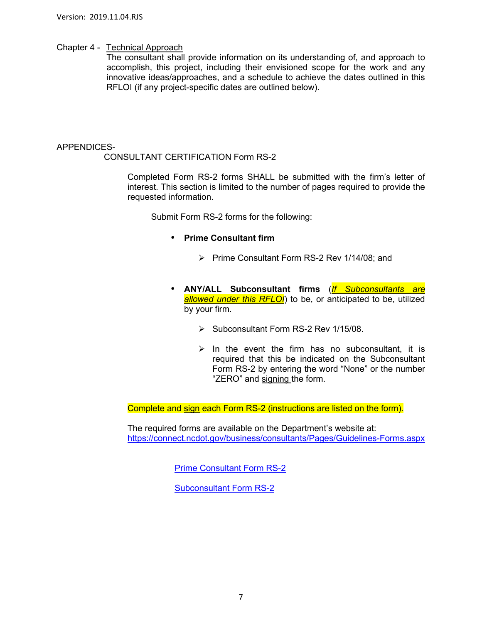#### Chapter 4 - Technical Approach

The consultant shall provide information on its understanding of, and approach to accomplish, this project, including their envisioned scope for the work and any innovative ideas/approaches, and a schedule to achieve the dates outlined in this RFLOI (if any project-specific dates are outlined below).

#### APPENDICES-

CONSULTANT CERTIFICATION Form RS-2

Completed Form RS-2 forms SHALL be submitted with the firm's letter of interest. This section is limited to the number of pages required to provide the requested information.

Submit Form RS-2 forms for the following:

- **Prime Consultant firm** 
	- $\triangleright$  Prime Consultant Form RS-2 Rev 1/14/08; and
- **ANY/ALL Subconsultant firms** (*If Subconsultants are allowed under this RFLOI*) to be, or anticipated to be, utilized by your firm.
	- $\triangleright$  Subconsultant Form RS-2 Rev 1/15/08.
	- $\triangleright$  In the event the firm has no subconsultant, it is required that this be indicated on the Subconsultant Form RS-2 by entering the word "None" or the number "ZERO" and signing the form.

Complete and sign each Form RS-2 (instructions are listed on the form).

 The required forms are available on the Department's website at: https://connect.ncdot.gov/business/consultants/Pages/Guidelines-Forms.aspx

Prime Consultant Form RS-2

Subconsultant Form RS-2